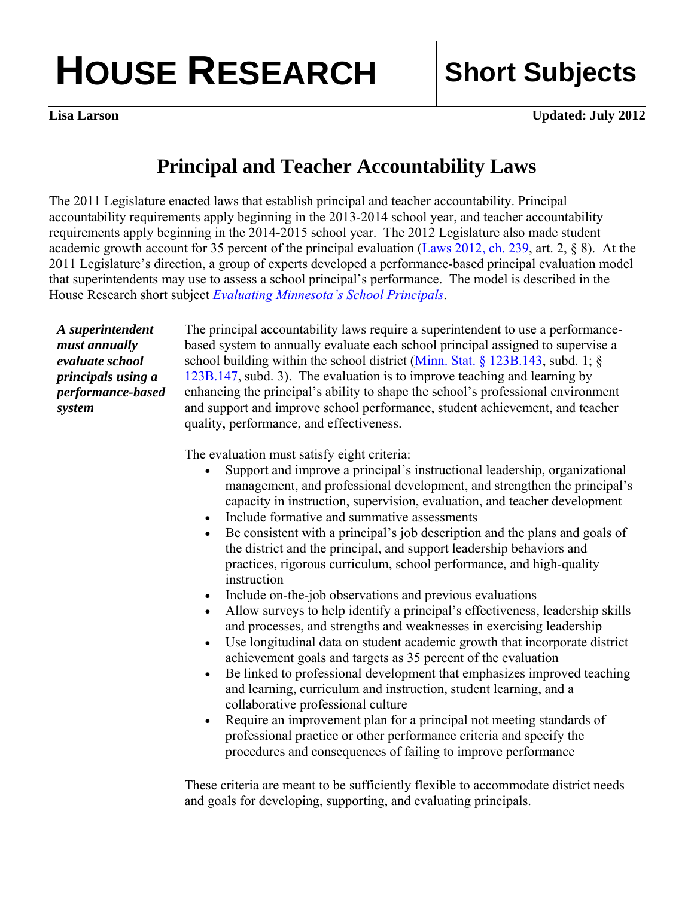## **HOUSE RESEARCH Short Subjects**

**Lisa Larson** Updated: July 2012

## **Principal and Teacher Accountability Laws**

The 2011 Legislature enacted laws that establish principal and teacher accountability. Principal accountability requirements apply beginning in the 2013-2014 school year, and teacher accountability requirements apply beginning in the 2014-2015 school year. The 2012 Legislature also made student academic growth account for 35 percent of the principal evaluation [\(Laws 2012, ch. 239,](https://www.revisor.mn.gov/laws/?id=239&doctype=Chapter&year=2012&type=0) art. 2, § 8). At the 2011 Legislature's direction, a group of experts developed a performance-based principal evaluation model that superintendents may use to assess a school principal's performance. The model is described in the House Research short subject *Evaluating Minnesota's School Principals*.

*A superintendent must annually evaluate school principals using a performance-based system* 

The principal accountability laws require a superintendent to use a performancebased system to annually evaluate each school principal assigned to supervise a school building within the school district [\(Minn. Stat. § 123B.143,](https://www.revisor.mn.gov/statutes/?id=123B.143) subd. 1; § [123B.147,](https://www.revisor.mn.gov/statutes/?id=123B.147) subd. 3). The evaluation is to improve teaching and learning by enhancing the principal's ability to shape the school's professional environment and support and improve school performance, student achievement, and teacher quality, performance, and effectiveness.

The evaluation must satisfy eight criteria:

- Support and improve a principal's instructional leadership, organizational management, and professional development, and strengthen the principal's capacity in instruction, supervision, evaluation, and teacher development
- Include formative and summative assessments
- Be consistent with a principal's job description and the plans and goals of the district and the principal, and support leadership behaviors and practices, rigorous curriculum, school performance, and high-quality instruction
- Include on-the-job observations and previous evaluations
- Allow surveys to help identify a principal's effectiveness, leadership skills and processes, and strengths and weaknesses in exercising leadership
- Use longitudinal data on student academic growth that incorporate district achievement goals and targets as 35 percent of the evaluation
- Be linked to professional development that emphasizes improved teaching and learning, curriculum and instruction, student learning, and a collaborative professional culture
- Require an improvement plan for a principal not meeting standards of professional practice or other performance criteria and specify the procedures and consequences of failing to improve performance

These criteria are meant to be sufficiently flexible to accommodate district needs and goals for developing, supporting, and evaluating principals.